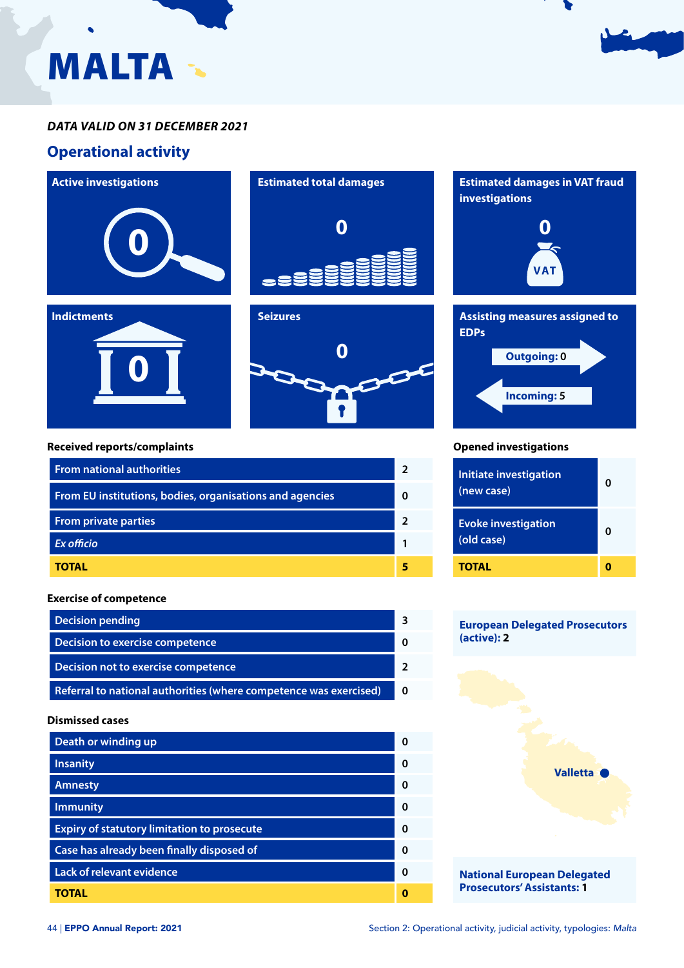

# **Operational activity**



**0**



![](_page_0_Figure_5.jpeg)

#### **Received reports/complaints**

| <b>From national authorities</b>                         |  |
|----------------------------------------------------------|--|
| From EU institutions, bodies, organisations and agencies |  |
| <b>From private parties</b>                              |  |
| Ex officio                                               |  |
| TOTAL                                                    |  |

#### **Exercise of competence**

| <b>Decision pending</b>                                           |  |
|-------------------------------------------------------------------|--|
| Decision to exercise competence                                   |  |
| Decision not to exercise competence                               |  |
| Referral to national authorities (where competence was exercised) |  |

#### **Dismissed cases**

| Death or winding up                                | ŋ |
|----------------------------------------------------|---|
| <b>Insanity</b>                                    | ŋ |
| <b>Amnesty</b>                                     | O |
| <b>Immunity</b>                                    | O |
| <b>Expiry of statutory limitation to prosecute</b> | ŋ |
| Case has already been finally disposed of          | O |
| <b>Lack of relevant evidence</b>                   | O |
| TOTAL                                              |   |

![](_page_0_Picture_12.jpeg)

#### **Opened investigations**

| <b>Initiate investigation</b><br>(new case) |  |
|---------------------------------------------|--|
| <b>Evoke investigation</b><br>(old case)    |  |
| TOTAL                                       |  |

### **European Delegated Prosecutors (active): 2**

![](_page_0_Picture_16.jpeg)

**Prosecutors' Assistants: 1**